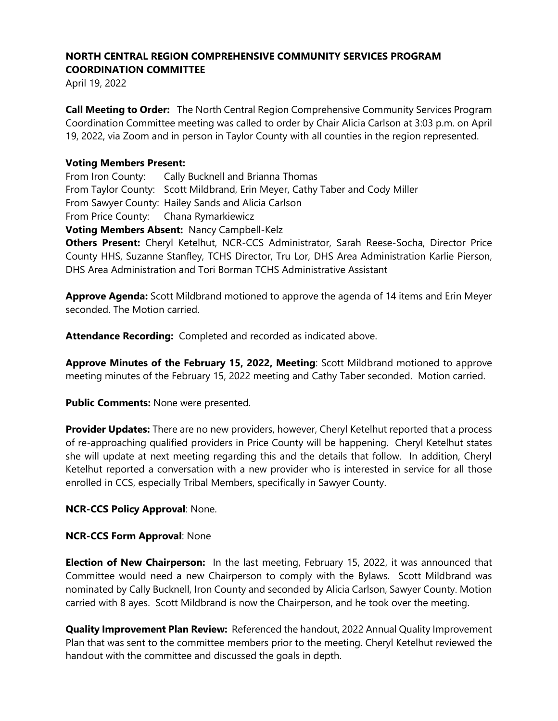# **NORTH CENTRAL REGION COMPREHENSIVE COMMUNITY SERVICES PROGRAM COORDINATION COMMITTEE**

April 19, 2022

**Call Meeting to Order:** The North Central Region Comprehensive Community Services Program Coordination Committee meeting was called to order by Chair Alicia Carlson at 3:03 p.m. on April 19, 2022, via Zoom and in person in Taylor County with all counties in the region represented.

### **Voting Members Present:**

From Iron County: Cally Bucknell and Brianna Thomas From Taylor County: Scott Mildbrand, Erin Meyer, Cathy Taber and Cody Miller From Sawyer County: Hailey Sands and Alicia Carlson From Price County: Chana Rymarkiewicz **Voting Members Absent:** Nancy Campbell-Kelz

**Others Present:** Cheryl Ketelhut, NCR-CCS Administrator, Sarah Reese-Socha, Director Price County HHS, Suzanne Stanfley, TCHS Director, Tru Lor, DHS Area Administration Karlie Pierson, DHS Area Administration and Tori Borman TCHS Administrative Assistant

**Approve Agenda:** Scott Mildbrand motioned to approve the agenda of 14 items and Erin Meyer seconded. The Motion carried.

**Attendance Recording:** Completed and recorded as indicated above.

**Approve Minutes of the February 15, 2022, Meeting**: Scott Mildbrand motioned to approve meeting minutes of the February 15, 2022 meeting and Cathy Taber seconded. Motion carried.

**Public Comments:** None were presented.

**Provider Updates:** There are no new providers, however, Cheryl Ketelhut reported that a process of re-approaching qualified providers in Price County will be happening. Cheryl Ketelhut states she will update at next meeting regarding this and the details that follow. In addition, Cheryl Ketelhut reported a conversation with a new provider who is interested in service for all those enrolled in CCS, especially Tribal Members, specifically in Sawyer County.

### **NCR-CCS Policy Approval**: None.

### **NCR-CCS Form Approval**: None

**Election of New Chairperson:** In the last meeting, February 15, 2022, it was announced that Committee would need a new Chairperson to comply with the Bylaws. Scott Mildbrand was nominated by Cally Bucknell, Iron County and seconded by Alicia Carlson, Sawyer County. Motion carried with 8 ayes. Scott Mildbrand is now the Chairperson, and he took over the meeting.

**Quality Improvement Plan Review:** Referenced the handout, 2022 Annual Quality Improvement Plan that was sent to the committee members prior to the meeting. Cheryl Ketelhut reviewed the handout with the committee and discussed the goals in depth.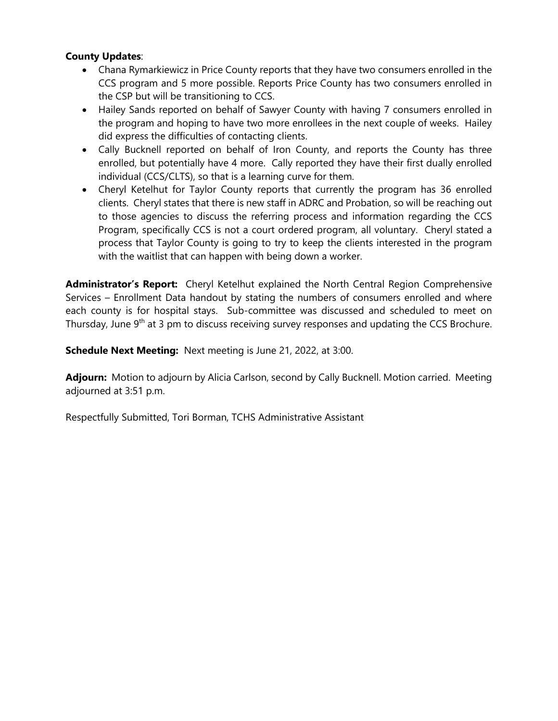### **County Updates**:

- Chana Rymarkiewicz in Price County reports that they have two consumers enrolled in the CCS program and 5 more possible. Reports Price County has two consumers enrolled in the CSP but will be transitioning to CCS.
- Hailey Sands reported on behalf of Sawyer County with having 7 consumers enrolled in the program and hoping to have two more enrollees in the next couple of weeks. Hailey did express the difficulties of contacting clients.
- Cally Bucknell reported on behalf of Iron County, and reports the County has three enrolled, but potentially have 4 more. Cally reported they have their first dually enrolled individual (CCS/CLTS), so that is a learning curve for them.
- Cheryl Ketelhut for Taylor County reports that currently the program has 36 enrolled clients. Cheryl states that there is new staff in ADRC and Probation, so will be reaching out to those agencies to discuss the referring process and information regarding the CCS Program, specifically CCS is not a court ordered program, all voluntary. Cheryl stated a process that Taylor County is going to try to keep the clients interested in the program with the waitlist that can happen with being down a worker.

**Administrator's Report:** Cheryl Ketelhut explained the North Central Region Comprehensive Services – Enrollment Data handout by stating the numbers of consumers enrolled and where each county is for hospital stays. Sub-committee was discussed and scheduled to meet on Thursday, June 9<sup>th</sup> at 3 pm to discuss receiving survey responses and updating the CCS Brochure.

**Schedule Next Meeting:** Next meeting is June 21, 2022, at 3:00.

**Adjourn:** Motion to adjourn by Alicia Carlson, second by Cally Bucknell. Motion carried. Meeting adjourned at 3:51 p.m.

Respectfully Submitted, Tori Borman, TCHS Administrative Assistant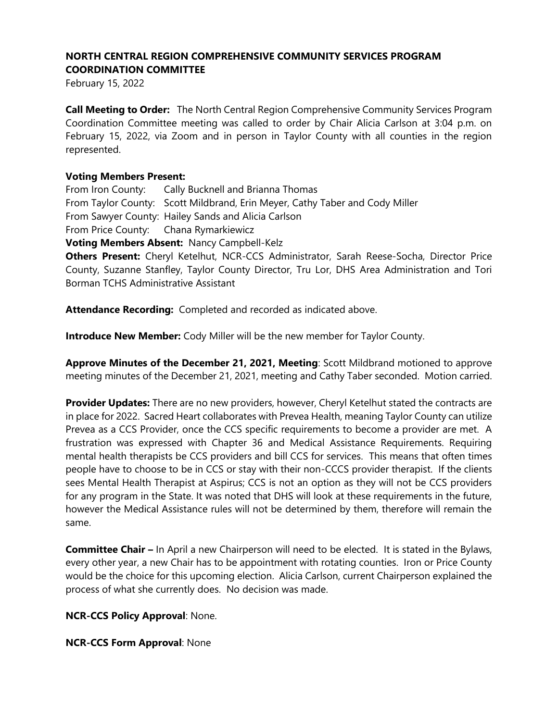## **NORTH CENTRAL REGION COMPREHENSIVE COMMUNITY SERVICES PROGRAM COORDINATION COMMITTEE**

February 15, 2022

**Call Meeting to Order:** The North Central Region Comprehensive Community Services Program Coordination Committee meeting was called to order by Chair Alicia Carlson at 3:04 p.m. on February 15, 2022, via Zoom and in person in Taylor County with all counties in the region represented.

#### **Voting Members Present:**

From Iron County: Cally Bucknell and Brianna Thomas From Taylor County: Scott Mildbrand, Erin Meyer, Cathy Taber and Cody Miller From Sawyer County: Hailey Sands and Alicia Carlson From Price County: Chana Rymarkiewicz **Voting Members Absent:** Nancy Campbell-Kelz

**Others Present:** Cheryl Ketelhut, NCR-CCS Administrator, Sarah Reese-Socha, Director Price County, Suzanne Stanfley, Taylor County Director, Tru Lor, DHS Area Administration and Tori Borman TCHS Administrative Assistant

**Attendance Recording:** Completed and recorded as indicated above.

**Introduce New Member:** Cody Miller will be the new member for Taylor County.

**Approve Minutes of the December 21, 2021, Meeting**: Scott Mildbrand motioned to approve meeting minutes of the December 21, 2021, meeting and Cathy Taber seconded. Motion carried.

**Provider Updates:** There are no new providers, however, Cheryl Ketelhut stated the contracts are in place for 2022. Sacred Heart collaborates with Prevea Health, meaning Taylor County can utilize Prevea as a CCS Provider, once the CCS specific requirements to become a provider are met. A frustration was expressed with Chapter 36 and Medical Assistance Requirements. Requiring mental health therapists be CCS providers and bill CCS for services. This means that often times people have to choose to be in CCS or stay with their non-CCCS provider therapist. If the clients sees Mental Health Therapist at Aspirus; CCS is not an option as they will not be CCS providers for any program in the State. It was noted that DHS will look at these requirements in the future, however the Medical Assistance rules will not be determined by them, therefore will remain the same.

**Committee Chair –** In April a new Chairperson will need to be elected. It is stated in the Bylaws, every other year, a new Chair has to be appointment with rotating counties. Iron or Price County would be the choice for this upcoming election. Alicia Carlson, current Chairperson explained the process of what she currently does. No decision was made.

**NCR-CCS Policy Approval**: None.

**NCR-CCS Form Approval**: None